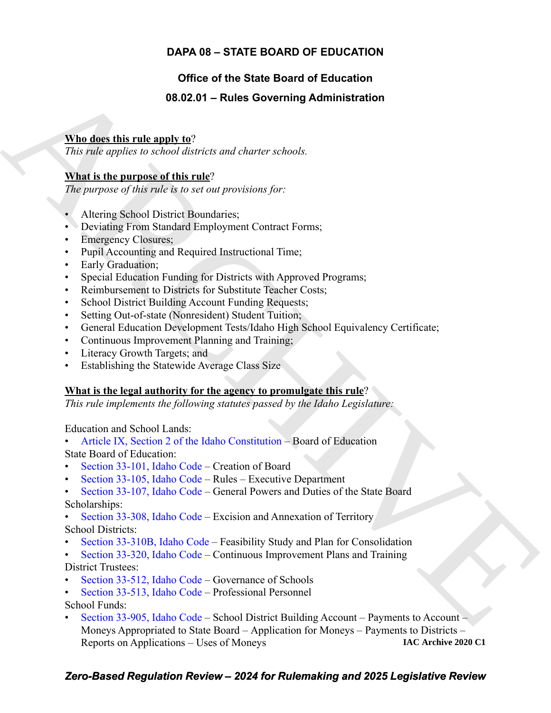# **DAPA 08 – STATE BOARD OF EDUCATION**

# **Office of the State Board of Education**

# **08.02.01 – Rules Governing Administration**

### **Who does this rule apply to**?

*This rule applies to school districts and charter schools.*

### **What is the purpose of this rule**?

*The purpose of this rule is to set out provisions for:*

- Altering School District Boundaries;
- Deviating From Standard Employment Contract Forms;
- Emergency Closures;
- Pupil Accounting and Required Instructional Time;
- Early Graduation;
- Special Education Funding for Districts with Approved Programs;
- Reimbursement to Districts for Substitute Teacher Costs;
- School District Building Account Funding Requests;
- Setting Out-of-state (Nonresident) Student Tuition;
- General Education Development Tests/Idaho High School Equivalency Certificate;
- Continuous Improvement Planning and Training;
- Literacy Growth Targets; and
- Establishing the Statewide Average Class Size

# **What is the legal authority for the agency to promulgate this rule**?

*This rule implements the following statutes passed by the Idaho Legislature:*

Education and School Lands:

- Article IX, Section 2 of the Idaho Constitution Board of Education State Board of Education:
- Section 33-101, Idaho Code Creation of Board
- Section 33-105, Idaho Code Rules Executive Department
- <span id="page-0-0"></span>**1988** 2021 – Rules Governing Administration<br>
208.02.01 – Rules Governing Administration<br>
The radio agolics to school districts and charter school.<br>
What is the pareness of this rule<sup>2</sup> ago is contrary and charter school. • Section 33-107, Idaho Code – General Powers and Duties of the State Board Scholarships:
	- Section 33-308, Idaho Code Excision and Annexation of Territory School Districts:
	- Section 33-310B, Idaho Code Feasibility Study and Plan for Consolidation
	- Section 33-320, Idaho Code Continuous Improvement Plans and Training District Trustees:
	- Section 33-512, Idaho Code Governance of Schools
	- Section 33-513, Idaho Code Professional Personnel School Funds:
	- Section 33-905, Idaho Code School District Building Account Payments to Account Moneys Appropriated to State Board – Application for Moneys – Payments to Districts – Reports on Applications – Uses of Moneys **IAC Archive 2020 C1**

# *Zero-Based Regulation Review – 2024 for Rulemaking and 2025 Legislative Review*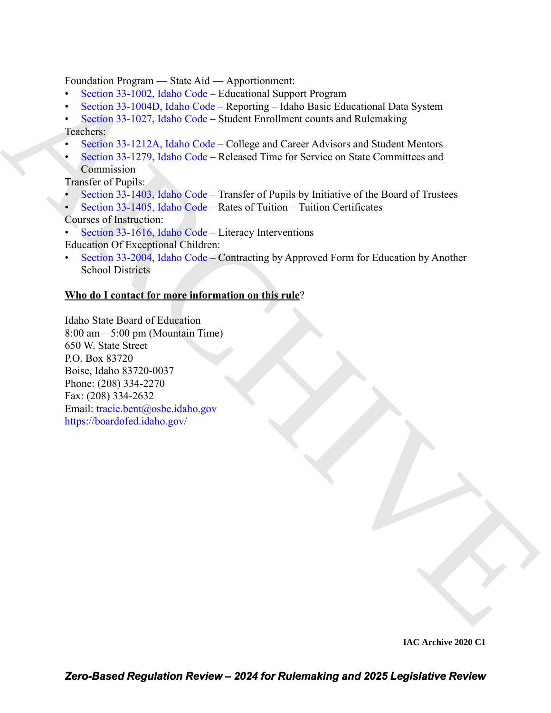Foundation Program — State Aid — Apportionment:

- Section 33-1002, Idaho Code Educational Support Program
- Section 33-1004D, Idaho Code Reporting Idaho Basic Educational Data System
- Section 33-1027, Idaho Code Student Enrollment counts and Rulemaking Teachers:
- Section 33-1212A, Idaho Code College and Career Advisors and Student Mentors
- Section 33-1279, Idaho Code Released Time for Service on State Committees and Commission

Transfer of Pupils:

- Section 33-1403, Idaho Code Transfer of Pupils by Initiative of the Board of Trustees
- Section 33-1405, Idaho Code Rates of Tuition Tuition Certificates Courses of Instruction:

• Section 33-1616, Idaho Code – Literacy Interventions Education Of Exceptional Children:

• Section 33-2004, Idaho Code – Contracting by Approved Form for Education by Another School Districts

# **Who do I contact for more information on this rule**?

Francisco 1934 (1941) Mathematical Paperbannian and [R](https://legislature.idaho.gov/statutesrules/idstat/Title33/T33CH14/SECT33-1403/)eal [C](https://legislature.idaho.gov/statutesrules/idstat/Title33/T33CH20/SECT33-2004)oncerns and Real Concerns and Real Concerns and Real Concerns and Real Concerns and Real Concerns and Real Concerns and Real Concerns and Real Concerns and Concern Idaho State Board of Education 8:00 am – 5:00 pm (Mountain Time) 650 W. State Street P.O. Box 83720 Boise, Idaho 83720-0037 Phone: (208) 334-2270 Fax: (208) 334-2632 Email: tracie.bent@osbe.idaho.gov https://boardofed.idaho.gov/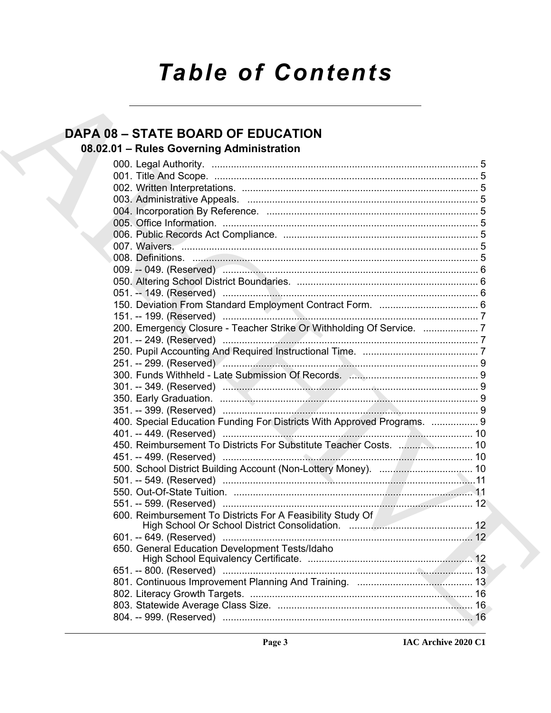# **Table of Contents**

# **DAPA 08 - STATE BOARD OF EDUCATION**

# 08.02.01 - Rules Governing Administration

| 200. Emergency Closure - Teacher Strike Or Withholding Of Service.  7   |  |
|-------------------------------------------------------------------------|--|
|                                                                         |  |
|                                                                         |  |
|                                                                         |  |
|                                                                         |  |
|                                                                         |  |
|                                                                         |  |
|                                                                         |  |
|                                                                         |  |
| 400. Special Education Funding For Districts With Approved Programs.  9 |  |
|                                                                         |  |
| 450. Reimbursement To Districts For Substitute Teacher Costs.  10       |  |
|                                                                         |  |
|                                                                         |  |
|                                                                         |  |
|                                                                         |  |
|                                                                         |  |
|                                                                         |  |
|                                                                         |  |
| 650. General Education Development Tests/Idaho                          |  |
|                                                                         |  |
|                                                                         |  |
|                                                                         |  |
|                                                                         |  |
|                                                                         |  |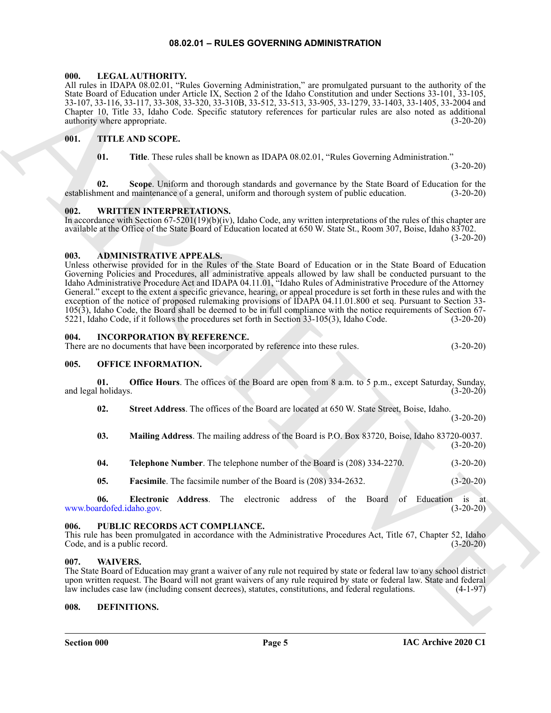#### **08.02.01 – RULES GOVERNING ADMINISTRATION**

#### <span id="page-3-13"></span><span id="page-3-1"></span><span id="page-3-0"></span>**000. LEGAL AUTHORITY.**

All rules in IDAPA 08.02.01, "Rules Governing Administration," are promulgated pursuant to the authority of the State Board of Education under Article IX, Section 2 of the Idaho Constitution and under Sections 33-101, 33-105, 33-107, 33-116, 33-117, 33-308, 33-320, 33-310B, 33-512, 33-513, 33-905, 33-1279, 33-1403, 33-1405, 33-2004 and Chapter 10, Title 33, Idaho Code. Specific statutory references for particular rules are also noted as additional authority where appropriate.  $(3-20-20)$ 

#### <span id="page-3-2"></span>**001. TITLE AND SCOPE.**

<span id="page-3-16"></span>**01. Title**. These rules shall be known as IDAPA 08.02.01, "Rules Governing Administration."

(3-20-20)

(3-20-20)

**02.** Scope. Uniform and thorough standards and governance by the State Board of Education for the ment and maintenance of a general, uniform and thorough system of public education. (3-20-20) establishment and maintenance of a general, uniform and thorough system of public education.

#### <span id="page-3-18"></span><span id="page-3-3"></span>**002. WRITTEN INTERPRETATIONS.**

In accordance with Section 67-5201(19)(b)(iv), Idaho Code, any written interpretations of the rules of this chapter are available at the Office of the State Board of Education located at 650 W. State St., Room 307, Boise, Idaho 83702. (3-20-20)

<span id="page-3-10"></span><span id="page-3-4"></span>**003. ADMINISTRATIVE APPEALS.**

All these in Dapta Microsoft is considered and the set premient of the set of the set of the set of the set of the set of the set of the set of the set of the set of the set of the set of the set of the set of the set of Unless otherwise provided for in the Rules of the State Board of Education or in the State Board of Education Governing Policies and Procedures, all administrative appeals allowed by law shall be conducted pursuant to the Idaho Administrative Procedure Act and IDAPA 04.11.01, "Idaho Rules of Administrative Procedure of the Attorney General." except to the extent a specific grievance, hearing, or appeal procedure is set forth in these rules and with the exception of the notice of proposed rulemaking provisions of IDAPA 04.11.01.800 et seq. Pursuant to Section 33- 105(3), Idaho Code, the Board shall be deemed to be in full compliance with the notice requirements of Section 67- 5221, Idaho Code, if it follows the procedures set forth in Section 33-105(3), Idaho Code. (3-20-20)

#### <span id="page-3-12"></span><span id="page-3-5"></span>**004. INCORPORATION BY REFERENCE.**

There are no documents that have been incorporated by reference into these rules. (3-20-20)

#### <span id="page-3-14"></span><span id="page-3-6"></span>**005. OFFICE INFORMATION.**

**01. Office Hours**. The offices of the Board are open from 8 a.m. to 5 p.m., except Saturday, Sunday, and legal holidays. (3-20-20)

**02. Street Address**. The offices of the Board are located at 650 W. State Street, Boise, Idaho.

| 03. | Mailing Address. The mailing address of the Board is P.O. Box 83720, Boise, Idaho 83720-0037. |  |  |             |
|-----|-----------------------------------------------------------------------------------------------|--|--|-------------|
|     |                                                                                               |  |  | $(3-20-20)$ |

| 04. | <b>Telephone Number.</b> The telephone number of the Board is (208) 334-2270. |  |  |  |  | $(3-20-20)$ |
|-----|-------------------------------------------------------------------------------|--|--|--|--|-------------|
|-----|-------------------------------------------------------------------------------|--|--|--|--|-------------|

**05. Facsimile**. The facsimile number of the Board is (208) 334-2632. (3-20-20)

**06. Electronic Address**. The electronic address of the Board of Education is at www.boardofed.idaho.gov. (3-20-20)

#### <span id="page-3-15"></span><span id="page-3-7"></span>**006. PUBLIC RECORDS ACT COMPLIANCE.**

This rule has been promulgated in accordance with the Administrative Procedures Act, Title 67, Chapter 52, Idaho Code, and is a public record. (3-20-20)

#### <span id="page-3-17"></span><span id="page-3-8"></span>**007. WAIVERS.**

The State Board of Education may grant a waiver of any rule not required by state or federal law to any school district upon written request. The Board will not grant waivers of any rule required by state or federal law. State and federal law includes case law (including consent decrees), statutes, constitutions, and federal regulations. (4 law includes case law (including consent decrees), statutes, constitutions, and federal regulations.

#### <span id="page-3-11"></span><span id="page-3-9"></span>**008. DEFINITIONS.**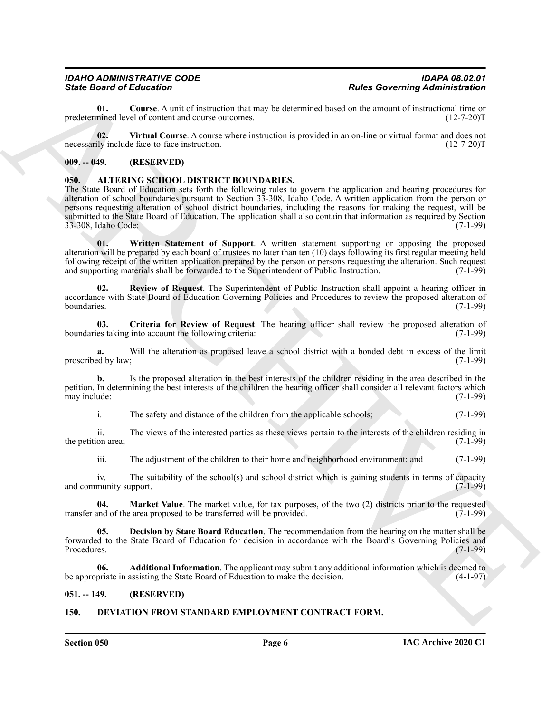# *IDAHO ADMINISTRATIVE CODE IDAPA 08.02.01*

<span id="page-4-11"></span>**01.** Course. A unit of instruction that may be determined based on the amount of instructional time or mined level of content and course outcomes. (12-7-20) predetermined level of content and course outcomes.

<span id="page-4-12"></span>**02.** Virtual Course. A course where instruction is provided in an on-line or virtual format and does not ily include face-to-face instruction. (12-7-20) necessarily include face-to-face instruction.

#### <span id="page-4-4"></span><span id="page-4-0"></span>**009. -- 049. (RESERVED)**

#### <span id="page-4-1"></span>**050. ALTERING SCHOOL DISTRICT BOUNDARIES.**

**Since Brazil and Education Computer Associates** and the system of the state of the system of the system of the system of the system of the system of the system of the system of the system of the system of the system of t The State Board of Education sets forth the following rules to govern the application and hearing procedures for alteration of school boundaries pursuant to Section 33-308, Idaho Code. A written application from the person or persons requesting alteration of school district boundaries, including the reasons for making the request, will be submitted to the State Board of Education. The application shall also contain that information as required by Section 33-308, Idaho Code: (7-1-99)

<span id="page-4-10"></span>**01. Written Statement of Support**. A written statement supporting or opposing the proposed alteration will be prepared by each board of trustees no later than ten (10) days following its first regular meeting held following receipt of the written application prepared by the person or persons requesting the alteration. Such request and supporting materials shall be forwarded to the Superintendent of Public Instruction. (7-1-99)

<span id="page-4-9"></span>**02. Review of Request**. The Superintendent of Public Instruction shall appoint a hearing officer in accordance with State Board of Éducation Governing Policies and Procedures to review the proposed alteration of boundaries. (7-1-99) boundaries. (7-1-99)

<span id="page-4-6"></span>**03.** Criteria for Review of Request. The hearing officer shall review the proposed alteration of es taking into account the following criteria: (7-1-99) boundaries taking into account the following criteria:

**a.** Will the alteration as proposed leave a school district with a bonded debt in excess of the limit of by law; (7-1-99) proscribed by law;

**b.** Is the proposed alteration in the best interests of the children residing in the area described in the petition. In determining the best interests of the children the hearing officer shall consider all relevant factors which may include: (7-1-99) may include:

i. The safety and distance of the children from the applicable schools; (7-1-99)

ii. The views of the interested parties as these views pertain to the interests of the children residing in the petition area;  $(7-1-99)$ 

<span id="page-4-8"></span>iii. The adjustment of the children to their home and neighborhood environment; and (7-1-99)

iv. The suitability of the school(s) and school district which is gaining students in terms of capacity munity support. (7-1-99) and community support.

**04. Market Value**. The market value, for tax purposes, of the two (2) districts prior to the requested and of the area proposed to be transferred will be provided. (7-1-99) transfer and of the area proposed to be transferred will be provided.

<span id="page-4-7"></span>**05. Decision by State Board Education**. The recommendation from the hearing on the matter shall be forwarded to the State Board of Education for decision in accordance with the Board's Governing Policies and Procedures. (7-1-99)

<span id="page-4-5"></span>**06. Additional Information**. The applicant may submit any additional information which is deemed to priate in assisting the State Board of Education to make the decision. (4-1-97) be appropriate in assisting the State Board of Education to make the decision.

#### <span id="page-4-2"></span>**051. -- 149. (RESERVED)**

#### <span id="page-4-13"></span><span id="page-4-3"></span>**150. DEVIATION FROM STANDARD EMPLOYMENT CONTRACT FORM.**

**Section 050 Page 6**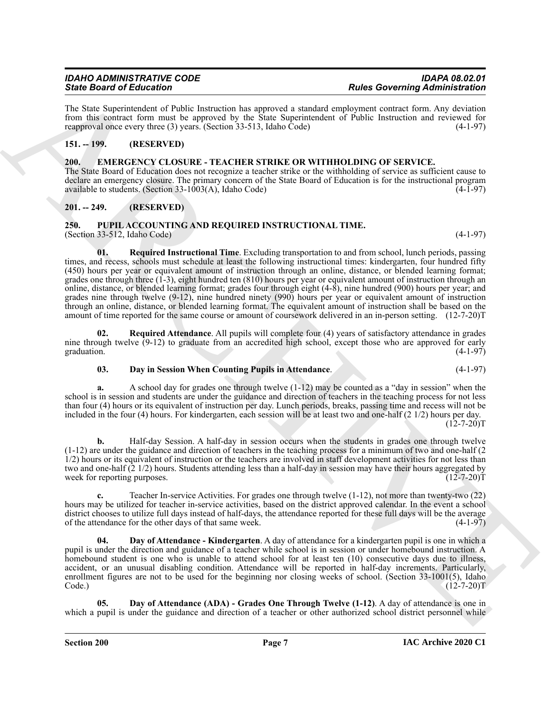The State Superintendent of Public Instruction has approved a standard employment contract form. Any deviation from this contract form must be approved by the State Superintendent of Public Instruction and reviewed for reapproval once every three (3) years. (Section 33-513, Idaho Code) (4-1-97) reapproval once every three (3) years. (Section 33-513, Idaho Code)

#### <span id="page-5-0"></span>**151. -- 199. (RESERVED)**

#### <span id="page-5-4"></span><span id="page-5-1"></span>**200. EMERGENCY CLOSURE - TEACHER STRIKE OR WITHHOLDING OF SERVICE.**

The State Board of Education does not recognize a teacher strike or the withholding of service as sufficient cause to declare an emergency closure. The primary concern of the State Board of Education is for the instructional program available to students. (Section 33-1003(A), Idaho Code)  $(4-1-97)$ 

#### <span id="page-5-2"></span>**201. -- 249. (RESERVED)**

#### <span id="page-5-5"></span><span id="page-5-3"></span>**250. PUPIL ACCOUNTING AND REQUIRED INSTRUCTIONAL TIME.** (Section 33-512, Idaho Code) (4-1-97)

<span id="page-5-10"></span>

Sink Board of Education Continues the region of system and the fit over distribution of the system of the system of the system of the system of the system of the system of the system of the system of the system of the sys **01. Required Instructional Time**. Excluding transportation to and from school, lunch periods, passing times, and recess, schools must schedule at least the following instructional times: kindergarten, four hundred fifty (450) hours per year or equivalent amount of instruction through an online, distance, or blended learning format; grades one through three  $(1-3)$ , eight hundred ten  $(810)$  hours per year or equivalent amount of instruction through an online, distance, or blended learning format; grades four through eight (4-8), nine hundred (900) hours per year; and grades nine through twelve (9-12), nine hundred ninety (990) hours per year or equivalent amount of instruction through an online, distance, or blended learning format. The equivalent amount of instruction shall be based on the amount of time reported for the same course or amount of coursework delivered in an in-person setting. (12-7-20)T

**02. Required Attendance**. All pupils will complete four (4) years of satisfactory attendance in grades nine through twelve  $(9-12)$  to graduate from an accredited high school, except those who are approved for early graduation.  $(4-1-97)$ graduation. (4-1-97)

#### <span id="page-5-9"></span><span id="page-5-6"></span>**03. Day in Session When Counting Pupils in Attendance**. (4-1-97)

**a.** A school day for grades one through twelve (1-12) may be counted as a "day in session" when the school is in session and students are under the guidance and direction of teachers in the teaching process for not less than four (4) hours or its equivalent of instruction per day. Lunch periods, breaks, passing time and recess will not be included in the four (4) hours. For kindergarten, each session will be at least two and one-half (2 1/2) hours per day.  $(12 - 7 - 20)T$ 

**b.** Half-day Session. A half-day in session occurs when the students in grades one through twelve (1-12) are under the guidance and direction of teachers in the teaching process for a minimum of two and one-half (2 1/2) hours or its equivalent of instruction or the teachers are involved in staff development activities for not less than two and one-half (2 1/2) hours. Students attending less than a half-day in session may have their hours aggregated by<br>week for reporting purposes. (12-7-20) week for reporting purposes.

**c.** Teacher In-service Activities. For grades one through twelve (1-12), not more than twenty-two (22) hours may be utilized for teacher in-service activities, based on the district approved calendar. In the event a school district chooses to utilize full days instead of half-days, the attendance reported for these full days will be the average of the attendance for the other days of that same week. (4-1-97)

<span id="page-5-8"></span>**04. Day of Attendance - Kindergarten**. A day of attendance for a kindergarten pupil is one in which a pupil is under the direction and guidance of a teacher while school is in session or under homebound instruction. A homebound student is one who is unable to attend school for at least ten (10) consecutive days due to illness, accident, or an unusual disabling condition. Attendance will be reported in half-day increments. Particularly, enrollment figures are not to be used for the beginning nor closing weeks of school. (Section 33-1001(5), Idaho  $Code.)$  (12-7-20)T

<span id="page-5-7"></span>**05. Day of Attendance (ADA) - Grades One Through Twelve (1-12)**. A day of attendance is one in which a pupil is under the guidance and direction of a teacher or other authorized school district personnel while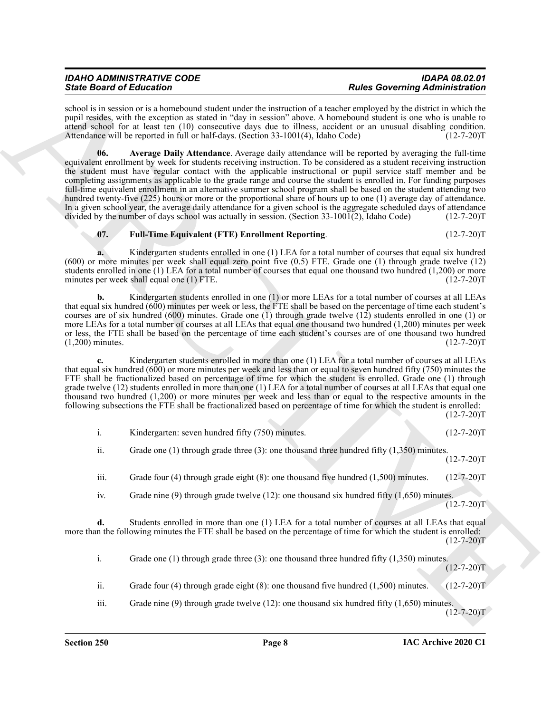| <b>IDAHO ADMINISTRATIVE CODE</b> | <b>IDAPA 08.02.01</b>                 |
|----------------------------------|---------------------------------------|
|                                  |                                       |
| <b>State Board of Education</b>  | <b>Rules Governing Administration</b> |

<span id="page-6-0"></span>school is in session or is a homebound student under the instruction of a teacher employed by the district in which the pupil resides, with the exception as stated in "day in session" above. A homebound student is one who is unable to attend school for at least ten (10) consecutive days due to illness, accident or an unusual disabling condition. Attendance will be reported in full or half-days. (Section 33-1001(4), Idaho Code) (12-7-20)T

Sink Book of Editorial continues and the material density in Editor Governing distribution in the state of the state of the state of the state of the state of the state of the state of the state of the state of the state **06. Average Daily Attendance**. Average daily attendance will be reported by averaging the full-time equivalent enrollment by week for students receiving instruction. To be considered as a student receiving instruction the student must have regular contact with the applicable instructional or pupil service staff member and be completing assignments as applicable to the grade range and course the student is enrolled in. For funding purposes full-time equivalent enrollment in an alternative summer school program shall be based on the student attending two hundred twenty-five (225) hours or more or the proportional share of hours up to one (1) average day of attendance. In a given school year, the average daily attendance for a given school is the aggregate scheduled days of attendance divided by the number of days school was actually in session. (Section 33-1001(2), Idaho Code) (12-7-20) divided by the number of days school was actually in session. (Section  $33\n-1001(2)$ , Idaho Code)

<span id="page-6-1"></span>**07. Full-Time Equivalent (FTE) Enrollment Reporting**. (12-7-20)T

**a.** Kindergarten students enrolled in one (1) LEA for a total number of courses that equal six hundred (600) or more minutes per week shall equal zero point five (0.5) FTE. Grade one (1) through grade twelve (12) students enrolled in one (1) LEA for a total number of courses that equal one thousand two hundred (1,200) or more minutes per week shall equal one (1) FTE. minutes per week shall equal one  $(1)$  FTE.

**b.** Kindergarten students enrolled in one (1) or more LEAs for a total number of courses at all LEAs that equal six hundred (600) minutes per week or less, the FTE shall be based on the percentage of time each student's courses are of six hundred (600) minutes. Grade one (1) through grade twelve (12) students enrolled in one (1) or more LEAs for a total number of courses at all LEAs that equal one thousand two hundred (1,200) minutes per week or less, the FTE shall be based on the percentage of time each student's courses are of one thousand two hundred (1,200) minutes. (1,200)  $(1,200)$  minutes.

**c.** Kindergarten students enrolled in more than one (1) LEA for a total number of courses at all LEAs that equal six hundred (600) or more minutes per week and less than or equal to seven hundred fifty (750) minutes the FTE shall be fractionalized based on percentage of time for which the student is enrolled. Grade one (1) through grade twelve (12) students enrolled in more than one (1) LEA for a total number of courses at all LEAs that equal one thousand two hundred (1,200) or more minutes per week and less than or equal to the respective amounts in the following subsections the FTE shall be fractionalized based on percentage of time for which the student is enrolled:  $(12 - 7 - 20)T$ 

|      | Kindergarten: seven hundred fifty (750) minutes.                                                | $(12 - 7 - 20)T$ |
|------|-------------------------------------------------------------------------------------------------|------------------|
| ii.  | Grade one $(1)$ through grade three $(3)$ : one thousand three hundred fifty $(1,350)$ minutes. | $(12 - 7 - 20)T$ |
| iii. | Grade four $(4)$ through grade eight $(8)$ : one thousand five hundred $(1,500)$ minutes.       | $(12-7-20)T$     |

iv. Grade nine (9) through grade twelve (12): one thousand six hundred fifty (1,650) minutes.  $(12 - 7 - 20)$ T

**d.** Students enrolled in more than one (1) LEA for a total number of courses at all LEAs that equal more than the following minutes the FTE shall be based on the percentage of time for which the student is enrolled:  $(12 - 7 - 20)T$ 

| 1.   | Grade one $(1)$ through grade three $(3)$ : one thousand three hundred fifty $(1,350)$ minutes. | $(12-7-20)T$     |
|------|-------------------------------------------------------------------------------------------------|------------------|
| ii.  | Grade four $(4)$ through grade eight $(8)$ : one thousand five hundred $(1,500)$ minutes.       | $(12 - 7 - 20)T$ |
| iii. | Grade nine (9) through grade twelve $(12)$ : one thousand six hundred fifty $(1,650)$ minutes.  | $(12 - 7 - 20)T$ |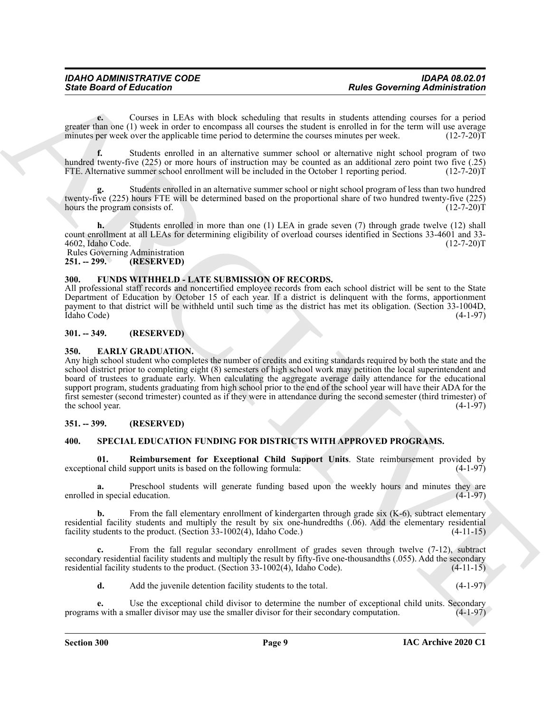**e.** Courses in LEAs with block scheduling that results in students attending courses for a period greater than one (1) week in order to encompass all courses the student is enrolled in for the term will use average minutes per week over the applicable time period to determine the courses minutes per week. (12-7-20) minutes per week over the applicable time period to determine the courses minutes per week.

**f.** Students enrolled in an alternative summer school or alternative night school program of two hundred twenty-five (225) or more hours of instruction may be counted as an additional zero point two five (.25) FTE. Alternative summer school enrollment will be included in the October 1 reporting period.  $(12-7-20)$ T

**g.** Students enrolled in an alternative summer school or night school program of less than two hundred twenty-five (225) hours FTE will be determined based on the proportional share of two hundred twenty-five (225) hours the program consists of. (12-7-20) hours the program consists of.

**h.** Students enrolled in more than one (1) LEA in grade seven (7) through grade twelve (12) shall count enrollment at all LEAs for determining eligibility of overload courses identified in Sections 33-4601 and 33- 4602, Idaho Code.

#### <span id="page-7-0"></span>Rules Governing Administration<br>251. – 299. (RESERVED) **251. -- 299. (RESERVED)**

#### <span id="page-7-7"></span><span id="page-7-1"></span>**300. FUNDS WITHHELD - LATE SUBMISSION OF RECORDS.**

All professional staff records and noncertified employee records from each school district will be sent to the State Department of Education by October 15 of each year. If a district is delinquent with the forms, apportionment payment to that district will be withheld until such time as the district has met its obligation. (Section 33-1004D, Idaho Code) (4-1-97)

#### <span id="page-7-2"></span>**301. -- 349. (RESERVED)**

#### <span id="page-7-6"></span><span id="page-7-3"></span>**350. EARLY GRADUATION.**

Sinte Board of Entremotion Control of the state of the state of the state of the state of the state of the state of the state of the state of the state of the state of the state of the state of the state of the state of t Any high school student who completes the number of credits and exiting standards required by both the state and the school district prior to completing eight (8) semesters of high school work may petition the local superintendent and board of trustees to graduate early. When calculating the aggregate average daily attendance for the educational support program, students graduating from high school prior to the end of the school year will have their ADA for the first semester (second trimester) counted as if they were in attendance during the second semester (third trimester) of the school year.  $(4-1-97)$ 

#### <span id="page-7-4"></span>**351. -- 399. (RESERVED)**

#### <span id="page-7-8"></span><span id="page-7-5"></span>**400. SPECIAL EDUCATION FUNDING FOR DISTRICTS WITH APPROVED PROGRAMS.**

<span id="page-7-9"></span>**01. Reimbursement for Exceptional Child Support Units**. State reimbursement provided by exceptional child support units is based on the following formula:

**a.** Preschool students will generate funding based upon the weekly hours and minutes they are in special education. (4-1-97) enrolled in special education.

**b.** From the fall elementary enrollment of kindergarten through grade six (K-6), subtract elementary residential facility students and multiply the result by six one-hundredths (.06). Add the elementary residential facility students to the product. (Section 33-1002(4), Idaho Code.) (4-11-15)

**c.** From the fall regular secondary enrollment of grades seven through twelve (7-12), subtract secondary residential facility students and multiply the result by fifty-five one-thousandths (.055). Add the secondary residential facility students to the product. (Section 33-1002(4), Idaho Code). (4-11-15)

**d.** Add the juvenile detention facility students to the total. (4-1-97)

**e.** Use the exceptional child divisor to determine the number of exceptional child units. Secondary s with a smaller divisor may use the smaller divisor for their secondary computation. (4-1-97) programs with a smaller divisor may use the smaller divisor for their secondary computation.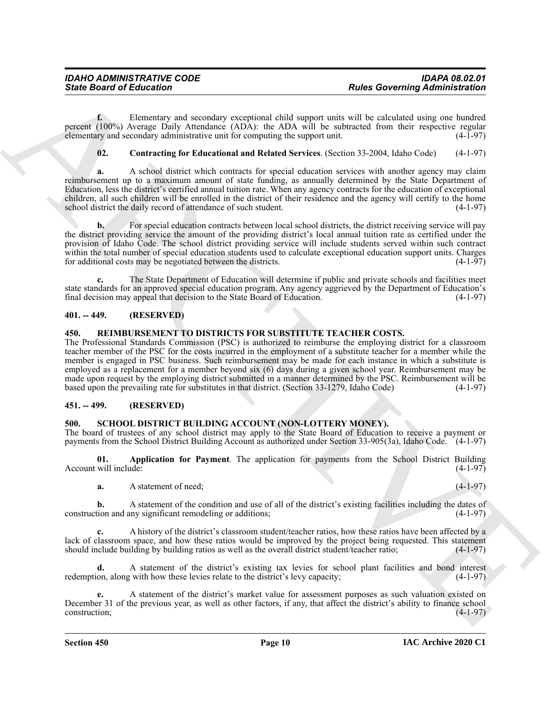**f.** Elementary and secondary exceptional child support units will be calculated using one hundred percent (100%) Average Daily Attendance (ADA): the ADA will be subtracted from their respective regular elementary and secondary administrative unit for computing the support unit. (4-1-97) elementary and secondary administrative unit for computing the support unit.

#### <span id="page-8-7"></span>**02. Contracting for Educational and Related Services**. (Section 33-2004, Idaho Code) (4-1-97)

**a.** A school district which contracts for special education services with another agency may claim reimbursement up to a maximum amount of state funding, as annually determined by the State Department of Education, less the district's certified annual tuition rate. When any agency contracts for the education of exceptional children, all such children will be enrolled in the district of their residence and the agency will certify to the home school district the daily record of attendance of such student. (4-1-97) school district the daily record of attendance of such student.

**b.** For special education contracts between local school districts, the district receiving service will pay the district providing service the amount of the providing district's local annual tuition rate as certified under the provision of Idaho Code. The school district providing service will include students served within such contract within the total number of special education students used to calculate exceptional education support units. Charges for additional costs may be negotiated between the districts. (4-1-97) for additional costs may be negotiated between the districts.

**c.** The State Department of Education will determine if public and private schools and facilities meet state standards for an approved special education program. Any agency aggrieved by the Department of Education's final decision may appeal that decision to the State Board of Education. (4-1-97) final decision may appeal that decision to the State Board of Education.

#### <span id="page-8-0"></span>**401. -- 449. (RESERVED)**

#### <span id="page-8-4"></span><span id="page-8-1"></span>**450. REIMBURSEMENT TO DISTRICTS FOR SUBSTITUTE TEACHER COSTS.**

Since Board of Echicagnes <br>
Since Board of Echicagnes <br>
Contained Contained Contained Contained Contained Contained Contained Contained Contained Contained Contained Contained Contained Contained Contained Contained Conta The Professional Standards Commission (PSC) is authorized to reimburse the employing district for a classroom teacher member of the PSC for the costs incurred in the employment of a substitute teacher for a member while the member is engaged in PSC business. Such reimbursement may be made for each instance in which a substitute is employed as a replacement for a member beyond six (6) days during a given school year. Reimbursement may be made upon request by the employing district submitted in a manner determined by the PSC. Reimbursement will be based upon the prevailing rate for substitutes in that district. (Section 33-1279, Idaho Code) (4-1-97)

#### <span id="page-8-2"></span>**451. -- 499. (RESERVED)**

#### <span id="page-8-5"></span><span id="page-8-3"></span>**500. SCHOOL DISTRICT BUILDING ACCOUNT (NON-LOTTERY MONEY).**

The board of trustees of any school district may apply to the State Board of Education to receive a payment or payments from the School District Building Account as authorized under Section 33-905(3a), Idaho Code. (4-1-97)

**01. Application for Payment**. The application for payments from the School District Building Account will include:

<span id="page-8-6"></span>**a.** A statement of need; (4-1-97)

**b.** A statement of the condition and use of all of the district's existing facilities including the dates of tion and any significant remodeling or additions; (4-1-97) construction and any significant remodeling or additions;

**c.** A history of the district's classroom student/teacher ratios, how these ratios have been affected by a lack of classroom space, and how these ratios would be improved by the project being requested. This statement should include building by building ratios as well as the overall district student/teacher ratio; (4-1-97) should include building by building ratios as well as the overall district student/teacher ratio;

**d.** A statement of the district's existing tax levies for school plant facilities and bond interest redemption, along with how these levies relate to the district's levy capacity;

**e.** A statement of the district's market value for assessment purposes as such valuation existed on December 31 of the previous year, as well as other factors, if any, that affect the district's ability to finance school construction; (4-1-97)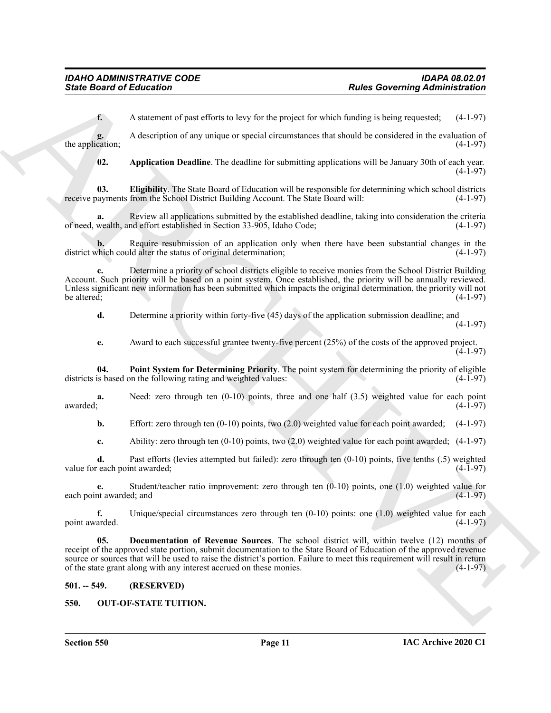**f.** A statement of past efforts to levy for the project for which funding is being requested; (4-1-97)

**g.** A description of any unique or special circumstances that should be considered in the evaluation of cation; the application;

<span id="page-9-5"></span><span id="page-9-3"></span>**02. Application Deadline**. The deadline for submitting applications will be January 30th of each year.  $(4-1-97)$ 

**03. Eligibility**. The State Board of Education will be responsible for determining which school districts ayments from the School District Building Account. The State Board will: (4-1-97) receive payments from the School District Building Account. The State Board will:

**a.** Review all applications submitted by the established deadline, taking into consideration the criteria wealth, and effort established in Section 33-905, Idaho Code; (4-1-97) of need, wealth, and effort established in Section 33-905, Idaho Code;

**b.** Require resubmission of an application only when there have been substantial changes in the vhich could alter the status of original determination; (4-1-97) district which could alter the status of original determination;

**c.** Determine a priority of school districts eligible to receive monies from the School District Building Account. Such priority will be based on a point system. Once established, the priority will be annually reviewed. Unless significant new information has been submitted which impacts the original determination, the priority will not be altered;<br>(4-1-97) be altered;  $(4-1-97)$ 

**d.** Determine a priority within forty-five (45) days of the application submission deadline; and (4-1-97)

<span id="page-9-6"></span>**e.** Award to each successful grantee twenty-five percent (25%) of the costs of the approved project.  $(4-1-97)$ 

**04. Point System for Determining Priority**. The point system for determining the priority of eligible districts is based on the following rating and weighted values:

**a.** Need: zero through ten (0-10) points, three and one half (3.5) weighted value for each point awarded; (4-1-97) awarded; (4-1-97)

**b.** Effort: zero through ten (0-10) points, two (2.0) weighted value for each point awarded; (4-1-97)

**c.** Ability: zero through ten (0-10) points, two (2.0) weighted value for each point awarded; (4-1-97)

**d.** Past efforts (levies attempted but failed): zero through ten (0-10) points, five tenths (.5) weighted each point awarded: (4-1-97) value for each point awarded;

**e.** Student/teacher ratio improvement: zero through ten (0-10) points, one (1.0) weighted value for each point awarded; and

<span id="page-9-4"></span>**f.** Unique/special circumstances zero through ten (0-10) points: one (1.0) weighted value for each arded. (4-1-97) point awarded.

Since Board of Entrementary and eclient to be the project for this distinguish probabilitation of the the state of the state of the state of the state of the state of the state of the state of the state of the state of th **05. Documentation of Revenue Sources**. The school district will, within twelve (12) months of receipt of the approved state portion, submit documentation to the State Board of Education of the approved revenue source or sources that will be used to raise the district's portion. Failure to meet this requirement will result in return of the state grant along with any interest accrued on these monies. (4-1-97)

#### <span id="page-9-0"></span>**501. -- 549. (RESERVED)**

<span id="page-9-2"></span><span id="page-9-1"></span>**550. OUT-OF-STATE TUITION.**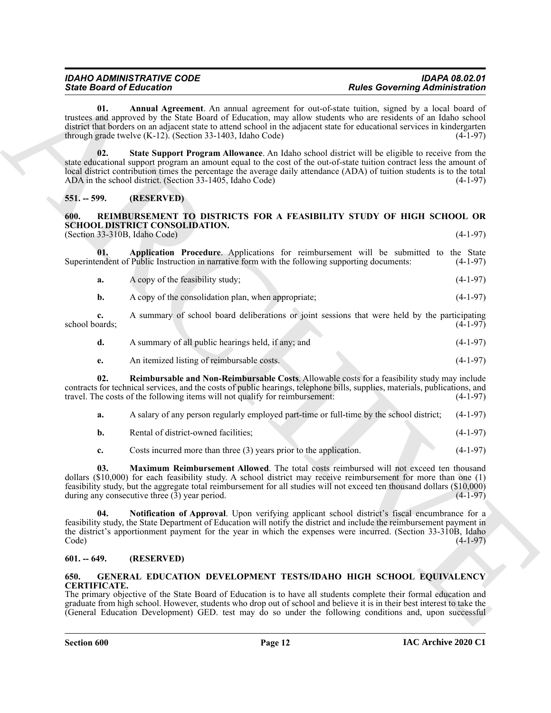# *IDAHO ADMINISTRATIVE CODE IDAPA 08.02.01*

*State Board of Education Rules Governing Administration*

<span id="page-10-5"></span>**01. Annual Agreement**. An annual agreement for out-of-state tuition, signed by a local board of trustees and approved by the State Board of Education, may allow students who are residents of an Idaho school district that borders on an adjacent state to attend school in the adjacent state for educational services in kindergarten<br>through grade twelve (K-12). (Section 33-1403, Idaho Code) (4-1-97) through grade twelve  $(K-12)$ . (Section 33-1403, Idaho Code)

<span id="page-10-6"></span>**02. State Support Program Allowance**. An Idaho school district will be eligible to receive from the state educational support program an amount equal to the cost of the out-of-state tuition contract less the amount of local district contribution times the percentage the average daily attendance (ADA) of tuition students is to the total ADA in the school district. (Section 33-1405, Idaho Code) (4-1-97)

#### <span id="page-10-0"></span>**551. -- 599. (RESERVED)**

#### <span id="page-10-7"></span><span id="page-10-1"></span>**600. REIMBURSEMENT TO DISTRICTS FOR A FEASIBILITY STUDY OF HIGH SCHOOL OR SCHOOL DISTRICT CONSOLIDATION.**

 $(Section 33-310B, Idaho Code)$  (4-1-97)

**01. Application Procedure**. Applications for reimbursement will be submitted to the State endent of Public Instruction in narrative form with the following supporting documents: (4-1-97) Superintendent of Public Instruction in narrative form with the following supporting documents:

- <span id="page-10-8"></span>**a.** A copy of the feasibility study; (4-1-97)
- **b.** A copy of the consolidation plan, when appropriate; (4-1-97)

**c.** A summary of school board deliberations or joint sessions that were held by the participating school boards;

- **d.** A summary of all public hearings held, if any; and (4-1-97)
- <span id="page-10-11"></span>**e.** An itemized listing of reimbursable costs. (4-1-97)

**02. Reimbursable and Non-Reimbursable Costs**. Allowable costs for a feasibility study may include contracts for technical services, and the costs of public hearings, telephone bills, supplies, materials, publications, and travel. The costs of the following items will not qualify for reimbursement:

|  | A salary of any person regularly employed part-time or full-time by the school district; (4-1-97) |  |  |  |
|--|---------------------------------------------------------------------------------------------------|--|--|--|
|--|---------------------------------------------------------------------------------------------------|--|--|--|

**b.** Rental of district-owned facilities: (4-1-97)

<span id="page-10-10"></span><span id="page-10-9"></span>**c.** Costs incurred more than three (3) years prior to the application. (4-1-97)

**03. Maximum Reimbursement Allowed**. The total costs reimbursed will not exceed ten thousand dollars (\$10,000) for each feasibility study. A school district may receive reimbursement for more than one (1) feasibility study, but the aggregate total reimbursement for all studies will not exceed ten thousand dollars (\$10,000) during any consecutive three  $(3)$  year period.

Since Brazil et Estado mentre a manda a presenta de versas de la manda a factor de la manda a factor de la manda a factor de la manda a factor de la manda a factor de la manda a factor de la manda a factor de la manda a f **04. Notification of Approval**. Upon verifying applicant school district's fiscal encumbrance for a feasibility study, the State Department of Education will notify the district and include the reimbursement payment in the district's apportionment payment for the year in which the expenses were incurred. (Section 33-310B, Idaho<br>Code) (4-1-97) Code) (4-1-97)

#### <span id="page-10-2"></span>**601. -- 649. (RESERVED)**

#### <span id="page-10-4"></span><span id="page-10-3"></span>**650. GENERAL EDUCATION DEVELOPMENT TESTS/IDAHO HIGH SCHOOL EQUIVALENCY CERTIFICATE.**

The primary objective of the State Board of Education is to have all students complete their formal education and graduate from high school. However, students who drop out of school and believe it is in their best interest to take the (General Education Development) GED. test may do so under the following conditions and, upon successful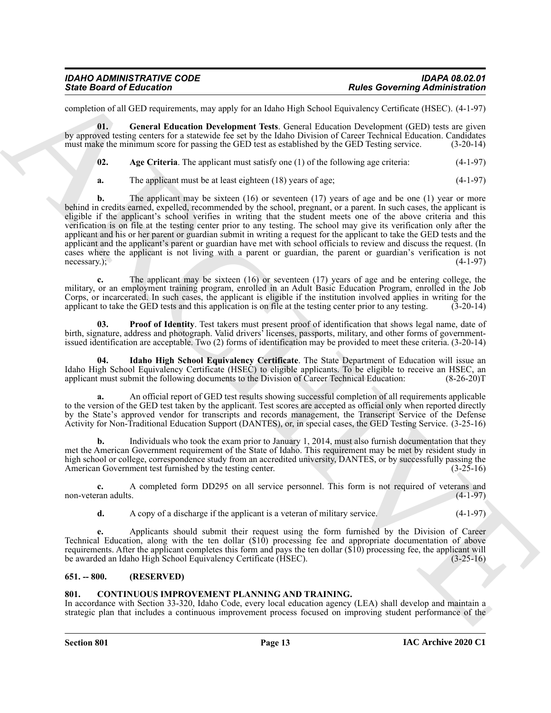| <b>IDAHO ADMINISTRATIVE CODE</b> | <b>IDAPA 08.02.01</b>                 |
|----------------------------------|---------------------------------------|
| <b>State Board of Education</b>  | <b>Rules Governing Administration</b> |

completion of all GED requirements, may apply for an Idaho High School Equivalency Certificate (HSEC). (4-1-97)

**01. General Education Development Tests**. General Education Development (GED) tests are given by approved testing centers for a statewide fee set by the Idaho Division of Career Technical Education. Candidates must make the minimum score for passing the GED test as established by the GED Testing service. (3-20-14)

<span id="page-11-4"></span><span id="page-11-3"></span>**02.** Age Criteria. The applicant must satisfy one (1) of the following age criteria:  $(4-1-97)$ 

**a.** The applicant must be at least eighteen (18) years of age; (4-1-97)

Since Board of Ethication<br>
Since Board of Ethication was the specific and the bulk Shock between the content of the University of the Press Content of the University of the Content of the University of the University of t **b.** The applicant may be sixteen (16) or seventeen (17) years of age and be one (1) year or more behind in credits earned, expelled, recommended by the school, pregnant, or a parent. In such cases, the applicant is eligible if the applicant's school verifies in writing that the student meets one of the above criteria and this verification is on file at the testing center prior to any testing. The school may give its verification only after the applicant and his or her parent or guardian submit in writing a request for the applicant to take the GED tests and the applicant and the applicant's parent or guardian have met with school officials to review and discuss the request. (In cases where the applicant is not living with a parent or guardian, the parent or guardian's verification is not necessary.); (4-1-97)  $\text{ncessary.};$  (4-1-97)

**c.** The applicant may be sixteen (16) or seventeen (17) years of age and be entering college, the military, or an employment training program, enrolled in an Adult Basic Education Program, enrolled in the Job Corps, or incarcerated. In such cases, the applicant is eligible if the institution involved applies in writing for the applicant to take the GED tests and this application is on file at the testing center prior to any tes applicant to take the GED tests and this application is on file at the testing center prior to any testing.

<span id="page-11-6"></span>**03. Proof of Identity**. Test takers must present proof of identification that shows legal name, date of birth, signature, address and photograph. Valid drivers' licenses, passports, military, and other forms of governmentissued identification are acceptable. Two (2) forms of identification may be provided to meet these criteria. (3-20-14)

<span id="page-11-5"></span>**04. Idaho High School Equivalency Certificate**. The State Department of Education will issue an Idaho High School Equivalency Certificate (HSEC) to eligible applicants. To be eligible to receive an HSEC, an applicant must submit the following documents to the Division of Career Technical Education: (8-26-20)T applicant must submit the following documents to the Division of Career Technical Education:

**a.** An official report of GED test results showing successful completion of all requirements applicable to the version of the GED test taken by the applicant. Test scores are accepted as official only when reported directly by the State's approved vendor for transcripts and records management, the Transcript Service of the Defense Activity for Non-Traditional Education Support (DANTES), or, in special cases, the GED Testing Service. (3-25-16)

**b.** Individuals who took the exam prior to January 1, 2014, must also furnish documentation that they met the American Government requirement of the State of Idaho. This requirement may be met by resident study in high school or college, correspondence study from an accredited university, DANTES, or by successfully passing the American Government test furnished by the testing center. (3-25-16)

**c.** A completed form DD295 on all service personnel. This form is not required of veterans and non-veteran adults.

**d.** A copy of a discharge if the applicant is a veteran of military service. (4-1-97)

**e.** Applicants should submit their request using the form furnished by the Division of Career Technical Education, along with the ten dollar (\$10) processing fee and appropriate documentation of above requirements. After the applicant completes this form and pays the ten dollar (\$10) processing fee, the applicant will<br>be awarded an Idaho High School Equivalency Certificate (HSEC). (3-25-16) be awarded an Idaho High School Equivalency Certificate (HSEC).

#### <span id="page-11-0"></span>**651. -- 800. (RESERVED)**

#### <span id="page-11-2"></span><span id="page-11-1"></span>**801. CONTINUOUS IMPROVEMENT PLANNING AND TRAINING.**

In accordance with Section 33-320, Idaho Code, every local education agency (LEA) shall develop and maintain a strategic plan that includes a continuous improvement process focused on improving student performance of the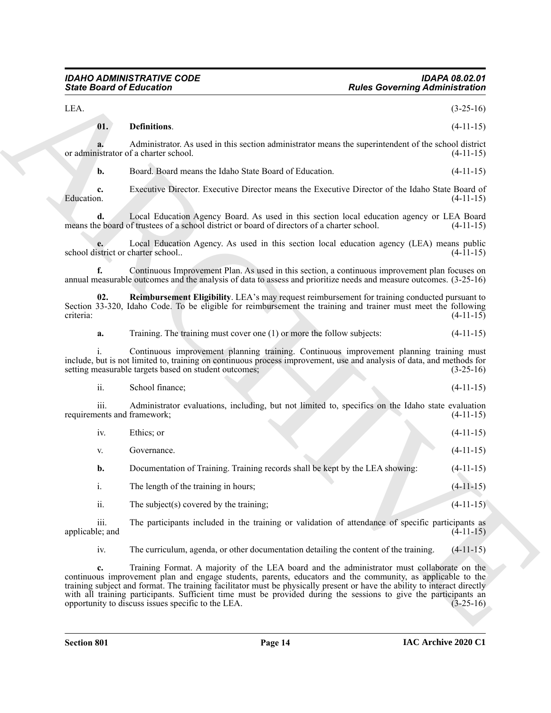**Since Board of Entrances Constraines and the section and interaction and the section of the section of the section and the section of the section of the section of the section of the section of the section of the section 01. Definitions**. (4-11-15) **a.** Administrator. As used in this section administrator means the superintendent of the school district or administrator of a charter school. (4-11-15) **b.** Board. Board means the Idaho State Board of Education. (4-11-15) **c.** Executive Director. Executive Director means the Executive Director of the Idaho State Board of Education. (4-11-15) Education. (4-11-15) **d.** Local Education Agency Board. As used in this section local education agency or LEA Board e board of trustees of a school district or board of directors of a charter school. (4-11-15) means the board of trustees of a school district or board of directors of a charter school. **e.** Local Education Agency. As used in this section local education agency (LEA) means public strict or charter school.. (4-11-15) school district or charter school.. **f.** Continuous Improvement Plan. As used in this section, a continuous improvement plan focuses on annual measurable outcomes and the analysis of data to assess and prioritize needs and measure outcomes. (3-25-16) **02. Reimbursement Eligibility**. LEA's may request reimbursement for training conducted pursuant to Section 33-320, Idaho Code. To be eligible for reimbursement the training and trainer must meet the following criteria: (4-11-15) criteria: (4-11-15) **a.** Training. The training must cover one (1) or more the follow subjects: (4-11-15) i. Continuous improvement planning training. Continuous improvement planning training must include, but is not limited to, training on continuous process improvement, use and analysis of data, and methods for setting measurable targets based on student outcomes; (3-25-16) setting measurable targets based on student outcomes; ii. School finance; (4-11-15) iii. Administrator evaluations, including, but not limited to, specifics on the Idaho state evaluation ents and framework; (4-11-15) requirements and framework; iv. Ethics; or  $(4-11-15)$ v. Governance.  $(4-11-15)$ **b.** Documentation of Training. Training records shall be kept by the LEA showing:  $(4-11-15)$ i. The length of the training in hours; (4-11-15) ii. The subject(s) covered by the training; (4-11-15)

<span id="page-12-1"></span><span id="page-12-0"></span>LEA.  $(3-25-16)$ 

iii. The participants included in the training or validation of attendance of specific participants as applicable; and (4-11-15)

iv. The curriculum, agenda, or other documentation detailing the content of the training. (4-11-15)

**c.** Training Format. A majority of the LEA board and the administrator must collaborate on the continuous improvement plan and engage students, parents, educators and the community, as applicable to the training subject and format. The training facilitator must be physically present or have the ability to interact directly with all training participants. Sufficient time must be provided during the sessions to give the participants an opportunity to discuss issues specific to the LEA. opportunity to discuss issues specific to the LEA.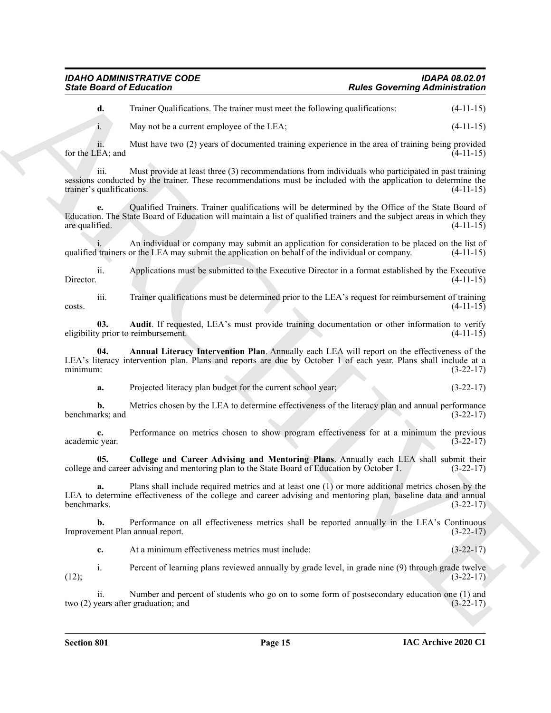| IDAHO ADMINISTRATIVE CODE       | <b>IDAPA 08.02.01</b>                 |
|---------------------------------|---------------------------------------|
| <b>State Board of Education</b> | <b>Rules Governing Administration</b> |

**d.** Trainer Qualifications. The trainer must meet the following qualifications: (4-11-15)

i. May not be a current employee of the LEA; (4-11-15)

ii. Must have two (2) years of documented training experience in the area of training being provided for the LEA; and  $(4-11-15)$ 

iii. Must provide at least three (3) recommendations from individuals who participated in past training sessions conducted by the trainer. These recommendations must be included with the application to determine the trainer's qualifications. (4-11-15)

**e.** Qualified Trainers. Trainer qualifications will be determined by the Office of the State Board of Education. The State Board of Education will maintain a list of qualified trainers and the subject areas in which they are qualified.  $(4-11-15)$ 

i. An individual or company may submit an application for consideration to be placed on the list of trainers or the LEA may submit the application on behalf of the individual or company. (4-11-15) qualified trainers or the LEA may submit the application on behalf of the individual or company.

ii. Applications must be submitted to the Executive Director in a format established by the Executive Director. (4-11-15)

iii. Trainer qualifications must be determined prior to the LEA's request for reimbursement of training  $\cos(s)$ .  $(4-11-15)$ 

<span id="page-13-1"></span>**03.** Audit. If requested, LEA's must provide training documentation or other information to verify v prior to reimbursement. (4-11-15) eligibility prior to reimbursement.

**Example and Enforcemental Construction** and the state of the same set of the same of the same of the same of the same of the same of the same of the same of the same of the same of the same of the same of the same of the **04. Annual Literacy Intervention Plan**. Annually each LEA will report on the effectiveness of the LEA's literacy intervention plan. Plans and reports are due by October 1 of each year. Plans shall include at a minimum: (3-22-17) minimum: (3-22-17)

<span id="page-13-0"></span>**a.** Projected literacy plan budget for the current school year; (3-22-17)

**b.** Metrics chosen by the LEA to determine effectiveness of the literacy plan and annual performance (13-22-17) benchmarks; and

**c.** Performance on metrics chosen to show program effectiveness for at a minimum the previous cyear. (3-22-17) academic year.

<span id="page-13-2"></span>**05.** College and Career Advising and Mentoring Plans. Annually each LEA shall submit their nd career advising and mentoring plan to the State Board of Education by October 1. (3-22-17) college and career advising and mentoring plan to the State Board of Education by October 1.

**a.** Plans shall include required metrics and at least one (1) or more additional metrics chosen by the LEA to determine effectiveness of the college and career advising and mentoring plan, baseline data and annual benchmarks. (3-22-17) benchmarks. (3-22-17)

**b.** Performance on all effectiveness metrics shall be reported annually in the LEA's Continuous Improvement Plan annual report. (3-22-17)

**c.** At a minimum effectiveness metrics must include: (3-22-17)

i. Percent of learning plans reviewed annually by grade level, in grade nine (9) through grade twelve  $(12);$  (3-22-17)

ii. Number and percent of students who go on to some form of postsecondary education one (1) and (3-22-17) two  $(2)$  years after graduation; and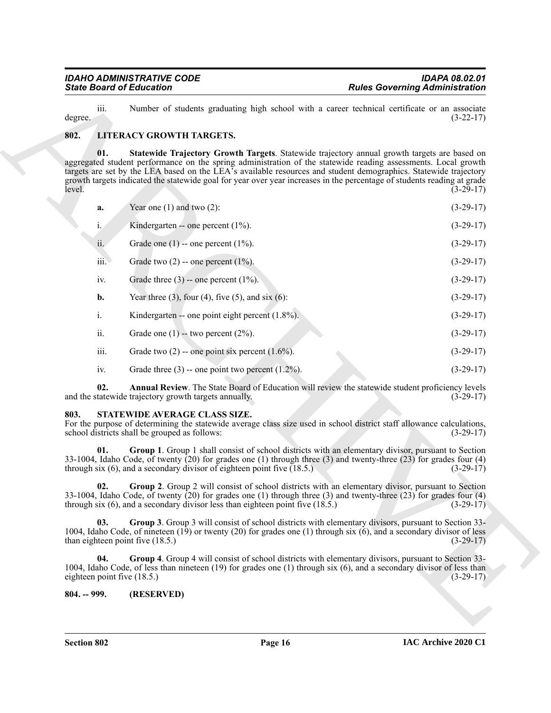#### <span id="page-14-5"></span><span id="page-14-3"></span><span id="page-14-0"></span>**802. LITERACY GROWTH TARGETS.**

|                                    | <b>State Board of Education</b>                                                      | <b>Rules Governing Administration</b>                                                                                                                                                                                                                                                                                                                                                                                                                         |             |
|------------------------------------|--------------------------------------------------------------------------------------|---------------------------------------------------------------------------------------------------------------------------------------------------------------------------------------------------------------------------------------------------------------------------------------------------------------------------------------------------------------------------------------------------------------------------------------------------------------|-------------|
| iii.<br>degree.                    |                                                                                      | Number of students graduating high school with a career technical certificate or an associate                                                                                                                                                                                                                                                                                                                                                                 | $(3-22-17)$ |
| 802.                               | LITERACY GROWTH TARGETS.                                                             |                                                                                                                                                                                                                                                                                                                                                                                                                                                               |             |
| 01.<br>level.                      |                                                                                      | Statewide Trajectory Growth Targets. Statewide trajectory annual growth targets are based on<br>aggregated student performance on the spring administration of the statewide reading assessments. Local growth<br>targets are set by the LEA based on the LEA's available resources and student demographics. Statewide trajectory<br>growth targets indicated the statewide goal for year over year increases in the percentage of students reading at grade | $(3-29-17)$ |
| a.                                 | Year one $(1)$ and two $(2)$ :                                                       |                                                                                                                                                                                                                                                                                                                                                                                                                                                               | $(3-29-17)$ |
| $i_{\cdot}$                        | Kindergarten -- one percent $(1\%)$ .                                                |                                                                                                                                                                                                                                                                                                                                                                                                                                                               | $(3-29-17)$ |
| ii.                                | Grade one $(1)$ -- one percent $(1\%)$ .                                             |                                                                                                                                                                                                                                                                                                                                                                                                                                                               | $(3-29-17)$ |
| iii.                               | Grade two $(2)$ -- one percent $(1\%)$ .                                             |                                                                                                                                                                                                                                                                                                                                                                                                                                                               | $(3-29-17)$ |
| iv.                                | Grade three $(3)$ -- one percent $(1\%)$ .                                           |                                                                                                                                                                                                                                                                                                                                                                                                                                                               | $(3-29-17)$ |
| b.                                 | Year three $(3)$ , four $(4)$ , five $(5)$ , and six $(6)$ :                         |                                                                                                                                                                                                                                                                                                                                                                                                                                                               | $(3-29-17)$ |
| $\mathbf{i}$ .                     | Kindergarten -- one point eight percent $(1.8\%)$ .                                  |                                                                                                                                                                                                                                                                                                                                                                                                                                                               | $(3-29-17)$ |
| ii.                                | Grade one $(1)$ -- two percent $(2\%)$ .                                             |                                                                                                                                                                                                                                                                                                                                                                                                                                                               | $(3-29-17)$ |
| iii.                               | Grade two $(2)$ -- one point six percent $(1.6\%)$ .                                 |                                                                                                                                                                                                                                                                                                                                                                                                                                                               | $(3-29-17)$ |
| iv.                                | Grade three $(3)$ -- one point two percent $(1.2\%)$ .                               |                                                                                                                                                                                                                                                                                                                                                                                                                                                               | $(3-29-17)$ |
| 02.                                | and the statewide trajectory growth targets annually.                                | Annual Review. The State Board of Education will review the statewide student proficiency levels                                                                                                                                                                                                                                                                                                                                                              | $(3-29-17)$ |
| 803.                               | STATEWIDE AVERAGE CLASS SIZE.<br>school districts shall be grouped as follows:       | For the purpose of determining the statewide average class size used in school district staff allowance calculations,                                                                                                                                                                                                                                                                                                                                         | $(3-29-17)$ |
| 01.                                | through six (6), and a secondary divisor of eighteen point five $(18.5.)$            | Group 1. Group 1 shall consist of school districts with an elementary divisor, pursuant to Section<br>33-1004, Idaho Code, of twenty $(20)$ for grades one $(1)$ through three $(3)$ and twenty-three $(23)$ for grades four $(4)$                                                                                                                                                                                                                            | $(3-29-17)$ |
| 02.                                | through six $(6)$ , and a secondary divisor less than eighteen point five $(18.5)$ . | Group 2. Group 2 will consist of school districts with an elementary divisor, pursuant to Section<br>33-1004, Idaho Code, of twenty $(20)$ for grades one $(1)$ through three $(3)$ and twenty-three $(23)$ for grades four $(4)$                                                                                                                                                                                                                             | $(3-29-17)$ |
| 03.                                | than eighteen point five (18.5.)                                                     | Group 3. Group 3 will consist of school districts with elementary divisors, pursuant to Section 33-<br>1004, Idaho Code, of nineteen (19) or twenty (20) for grades one (1) through six (6), and a secondary divisor of less                                                                                                                                                                                                                                  | $(3-29-17)$ |
| 04.<br>eighteen point five (18.5.) |                                                                                      | Group 4. Group 4 will consist of school districts with elementary divisors, pursuant to Section 33-<br>1004, Idaho Code, of less than nineteen (19) for grades one (1) through six (6), and a secondary divisor of less than                                                                                                                                                                                                                                  | $(3-29-17)$ |
| $804. - 999.$                      | (RESERVED)                                                                           |                                                                                                                                                                                                                                                                                                                                                                                                                                                               |             |

#### <span id="page-14-8"></span><span id="page-14-7"></span><span id="page-14-6"></span><span id="page-14-4"></span><span id="page-14-1"></span>**803. STATEWIDE AVERAGE CLASS SIZE.**

### <span id="page-14-10"></span><span id="page-14-9"></span><span id="page-14-2"></span>**804. -- 999. (RESERVED)**